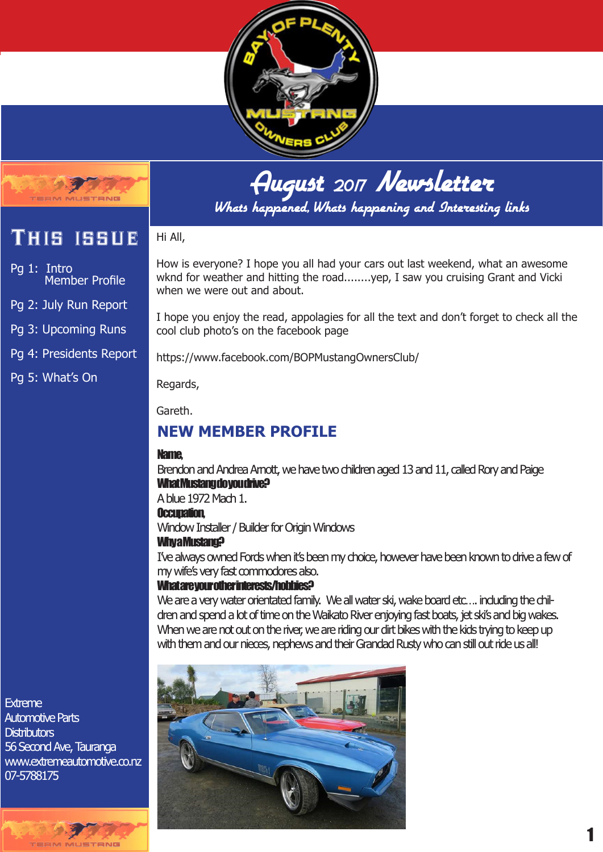



Whats happened, Whats happening and Interesting links

# This issue

Pg 1: Intro Member Profile

Pg 2: July Run Report

Pg 3: Upcoming Runs

Pg 4: Presidents Report

Pg 5: What's On

How is everyone? I hope you all had your cars out last weekend, what an awesome wknd for weather and hitting the road........yep, I saw you cruising Grant and Vicki when we were out and about.

I hope you enjoy the read, appolagies for all the text and don't forget to check all the cool club photo's on the facebook page

https://www.facebook.com/BOPMustangOwnersClub/

Regards,

Hi All,

Gareth.

# **NEW MEMBER PROFILE**

#### Name,

Brendon and Andrea Arnott, we have two children aged 13 and 11, called Rory and Paige What Mustang do you drive?

A blue 1972 Mach 1.

#### Occupation,

Window Installer / Builder for Origin Windows

#### Why a Mustang?

I've always owned Fords when it's been my choice, however have been known to drive a few of my wife's very fast commodores also.

#### What are your other interests/hobbies?

We are a very water orientated family. We all water ski, wake board etc... induding the children and spend a lot of time on the Waikato River enjoying fast boats, jet ski's and big wakes. When we are not out on the river, we are riding our dirt bikes with the kids trying to keep up with them and our nieces, nephews and their Grandad Rusty who can still out ride us all!

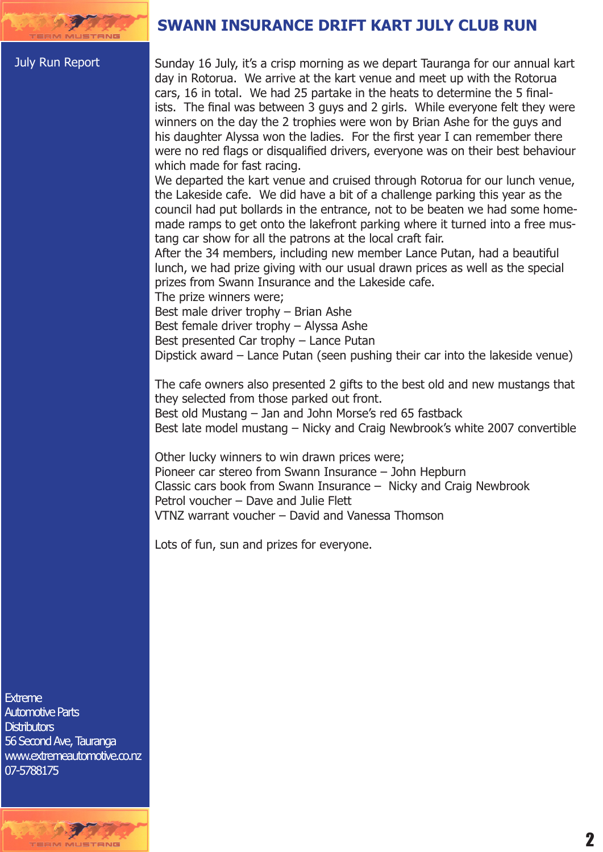#### July Run Report

**SWANN INSURANCE DRIFT KART JULY CLUB RUN**

Sunday 16 July, it's a crisp morning as we depart Tauranga for our annual kart day in Rotorua. We arrive at the kart venue and meet up with the Rotorua cars, 16 in total. We had 25 partake in the heats to determine the 5 finalists. The final was between 3 guys and 2 girls. While everyone felt they were winners on the day the 2 trophies were won by Brian Ashe for the guys and his daughter Alyssa won the ladies. For the first year I can remember there were no red flags or disqualified drivers, everyone was on their best behaviour which made for fast racing.

We departed the kart venue and cruised through Rotorua for our lunch venue, the Lakeside cafe. We did have a bit of a challenge parking this year as the council had put bollards in the entrance, not to be beaten we had some homemade ramps to get onto the lakefront parking where it turned into a free mustang car show for all the patrons at the local craft fair.

After the 34 members, including new member Lance Putan, had a beautiful lunch, we had prize giving with our usual drawn prices as well as the special prizes from Swann Insurance and the Lakeside cafe.

The prize winners were;

Best male driver trophy – Brian Ashe

Best female driver trophy – Alyssa Ashe

Best presented Car trophy – Lance Putan

Dipstick award – Lance Putan (seen pushing their car into the lakeside venue)

The cafe owners also presented 2 gifts to the best old and new mustangs that they selected from those parked out front.

Best old Mustang – Jan and John Morse's red 65 fastback

Best late model mustang – Nicky and Craig Newbrook's white 2007 convertible

Other lucky winners to win drawn prices were; Pioneer car stereo from Swann Insurance – John Hepburn Classic cars book from Swann Insurance – Nicky and Craig Newbrook Petrol voucher – Dave and Julie Flett VTNZ warrant voucher – David and Vanessa Thomson

Lots of fun, sun and prizes for everyone.

Extreme Extreme Automotive Parts Automotive Parts Distributors Distributors 56 Second Ave, Tauranga www.extremeautomotive.co.nz 56 Second Ave, Taurangawww.extremeautomotive.co.nz 07-5788175 07-5788175

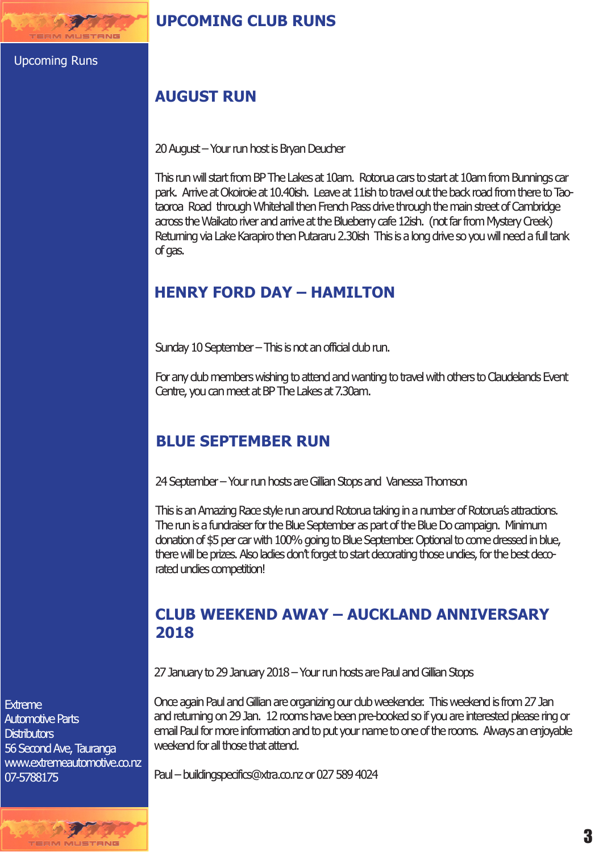**EM MUSTANG** 

## **AUGUST RUN**

20 August – Your run host is Bryan Deucher

This run will start from BP The Lakes at 10am. Rotorua cars to start at 10am from Bunnings car park. Arrive at Okoiroie at 10.40ish. Leave at 11ish to travel out the back road from there to Taotaoroa Road through Whitehall then French Pass drive through the main street of Cambridge across the Waikato river and arrive at the Blueberry cafe 12ish. (not far from Mystery Creek) Returning via Lake Karapiro then Putararu 2.30ish This is a long drive so you will need a full tank of gas.

# **HENRY FORD DAY – HAMILTON**

Sunday 10 September – This is not an official club run.

For any club members wishing to attend and wanting to travel with others to Claudelands Event Centre, you can meet at BP The Lakes at 7.30am.

## **BLUE SEPTEMBER RUN**

24 September – Your run hosts are Gillian Stops and Vanessa Thomson

This is an Amazing Race style run around Rotorua taking in a number of Rotorua's attractions. The run is a fundraiser for the Blue September as part of the Blue Do campaign. Minimum donation of \$5 per car with 100% going to Blue September. Optional to come dressed in blue, there will be prizes. Also ladies don't forget to start decorating those undies, for the best decorated undies competition!

## **CLUB WEEKEND AWAY – AUCKLAND ANNIVERSARY 2018**

27 January to 29 January 2018 – Your run hosts are Paul and Gillian Stops

Once again Paul and Gillian are organizing our club weekender. This weekend is from 27 Jan and returning on 29 Jan. 12 rooms have been pre-booked so if you are interested please ring or email Paul for more information and to put your name to one of the rooms. Always an enjoyable weekend for all those that attend.

Paul – buildingspecifics@xtra.co.nz or 027 589 4024

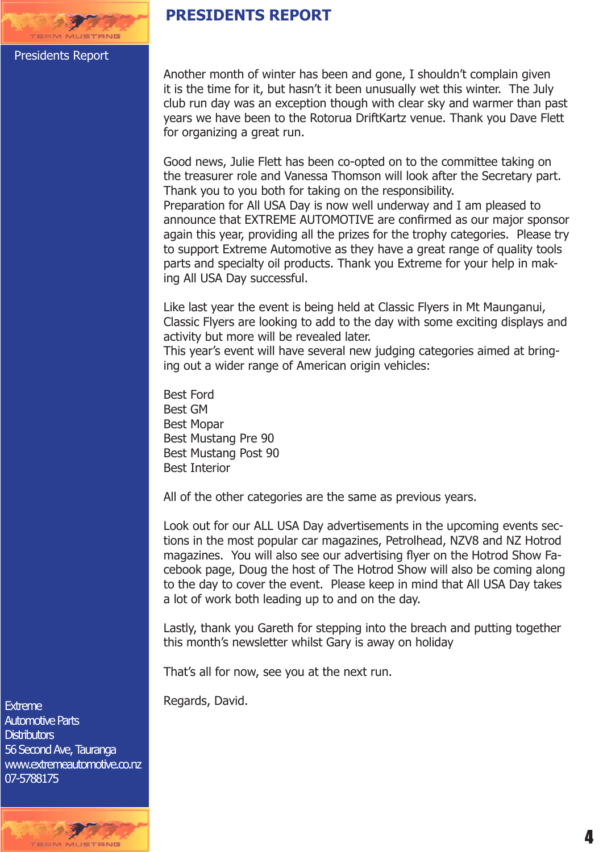# **PRESIDENTS REPORT**

#### Presidents Report

Another month of winter has been and gone, I shouldn't complain given it is the time for it, but hasn't it been unusually wet this winter. The July club run day was an exception though with clear sky and warmer than past years we have been to the Rotorua DriftKartz venue. Thank you Dave Flett for organizing a great run.

Good news, Julie Flett has been co-opted on to the committee taking on the treasurer role and Vanessa Thomson will look after the Secretary part. Thank you to you both for taking on the responsibility. Preparation for All USA Day is now well underway and I am pleased to announce that EXTREME AUTOMOTIVE are confirmed as our major sponsor again this year, providing all the prizes for the trophy categories. Please try to support Extreme Automotive as they have a great range of quality tools parts and specialty oil products. Thank you Extreme for your help in making All USA Day successful.

Like last year the event is being held at Classic Flyers in Mt Maunganui, Classic Flyers are looking to add to the day with some exciting displays and activity but more will be revealed later.

This year's event will have several new judging categories aimed at bringing out a wider range of American origin vehicles:

Best Ford Best GM Best Mopar Best Mustang Pre 90 Best Mustang Post 90 Best Interior

All of the other categories are the same as previous years.

Look out for our ALL USA Day advertisements in the upcoming events sections in the most popular car magazines, Petrolhead, NZV8 and NZ Hotrod magazines. You will also see our advertising flyer on the Hotrod Show Facebook page, Doug the host of The Hotrod Show will also be coming along to the day to cover the event. Please keep in mind that All USA Day takes a lot of work both leading up to and on the day.

Lastly, thank you Gareth for stepping into the breach and putting together this month's newsletter whilst Gary is away on holiday

That's all for now, see you at the next run.

Regards, David.